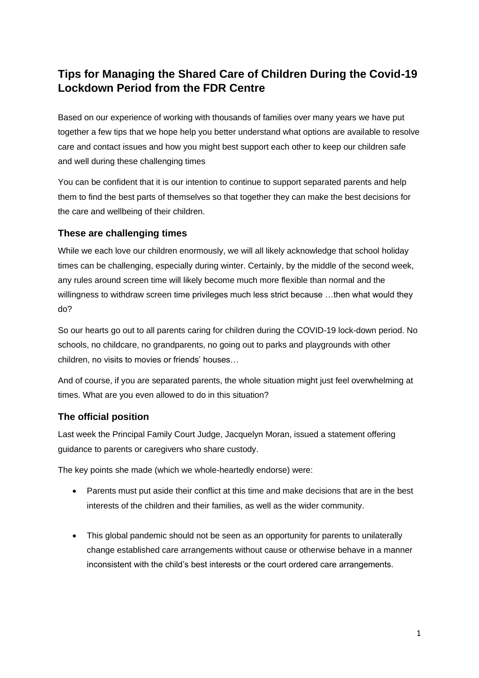# **Tips for Managing the Shared Care of Children During the Covid-19 Lockdown Period from the FDR Centre**

Based on our experience of working with thousands of families over many years we have put together a few tips that we hope help you better understand what options are available to resolve care and contact issues and how you might best support each other to keep our children safe and well during these challenging times

You can be confident that it is our intention to continue to support separated parents and help them to find the best parts of themselves so that together they can make the best decisions for the care and wellbeing of their children.

### **These are challenging times**

While we each love our children enormously, we will all likely acknowledge that school holiday times can be challenging, especially during winter. Certainly, by the middle of the second week, any rules around screen time will likely become much more flexible than normal and the willingness to withdraw screen time privileges much less strict because …then what would they do?

So our hearts go out to all parents caring for children during the COVID-19 lock-down period. No schools, no childcare, no grandparents, no going out to parks and playgrounds with other children, no visits to movies or friends' houses…

And of course, if you are separated parents, the whole situation might just feel overwhelming at times. What are you even allowed to do in this situation?

## **The official position**

Last week the Principal Family Court Judge, Jacquelyn Moran, issued a statement offering guidance to parents or caregivers who share custody.

The key points she made (which we whole-heartedly endorse) were:

- Parents must put aside their conflict at this time and make decisions that are in the best interests of the children and their families, as well as the wider community.
- This global pandemic should not be seen as an opportunity for parents to unilaterally change established care arrangements without cause or otherwise behave in a manner inconsistent with the child's best interests or the court ordered care arrangements.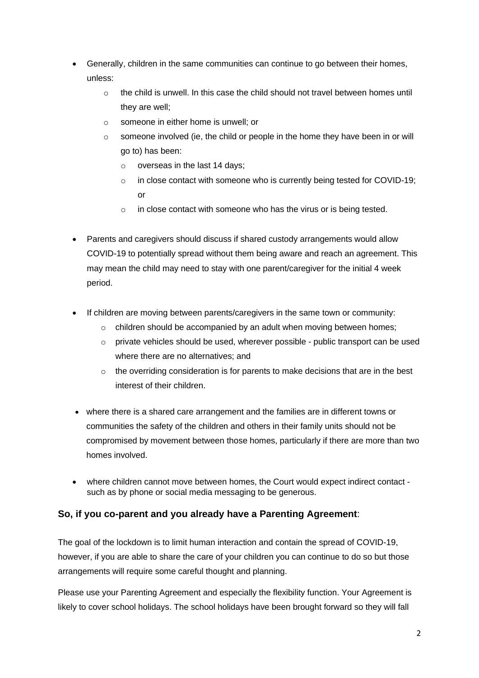- Generally, children in the same communities can continue to go between their homes, unless:
	- $\circ$  the child is unwell. In this case the child should not travel between homes until they are well;
	- o someone in either home is unwell; or
	- o someone involved (ie, the child or people in the home they have been in or will go to) has been:
		- o overseas in the last 14 days;
		- o in close contact with someone who is currently being tested for COVID-19; or
		- $\circ$  in close contact with someone who has the virus or is being tested.
- Parents and caregivers should discuss if shared custody arrangements would allow COVID-19 to potentially spread without them being aware and reach an agreement. This may mean the child may need to stay with one parent/caregiver for the initial 4 week period.
- If children are moving between parents/caregivers in the same town or community:
	- children should be accompanied by an adult when moving between homes;
	- o private vehicles should be used, wherever possible public transport can be used where there are no alternatives; and
	- $\circ$  the overriding consideration is for parents to make decisions that are in the best interest of their children.
- where there is a shared care arrangement and the families are in different towns or communities the safety of the children and others in their family units should not be compromised by movement between those homes, particularly if there are more than two homes involved.
- where children cannot move between homes, the Court would expect indirect contact such as by phone or social media messaging to be generous.

#### **So, if you co-parent and you already have a Parenting Agreement**:

The goal of the lockdown is to limit human interaction and contain the spread of COVID-19, however, if you are able to share the care of your children you can continue to do so but those arrangements will require some careful thought and planning.

Please use your Parenting Agreement and especially the flexibility function. Your Agreement is likely to cover school holidays. The school holidays have been brought forward so they will fall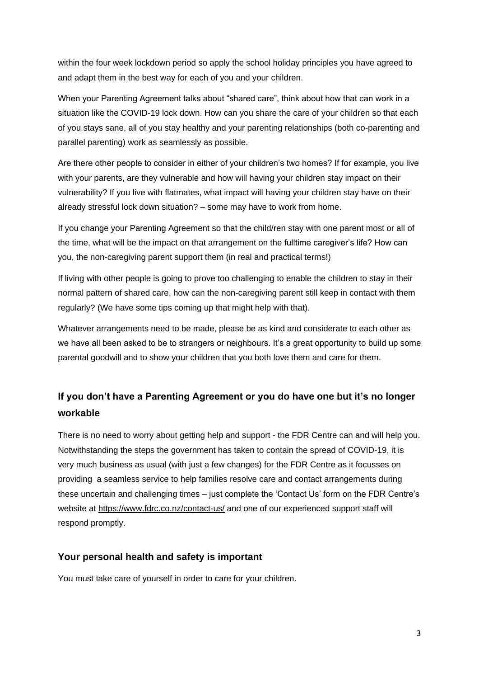within the four week lockdown period so apply the school holiday principles you have agreed to and adapt them in the best way for each of you and your children.

When your Parenting Agreement talks about "shared care", think about how that can work in a situation like the COVID-19 lock down. How can you share the care of your children so that each of you stays sane, all of you stay healthy and your parenting relationships (both co-parenting and parallel parenting) work as seamlessly as possible.

Are there other people to consider in either of your children's two homes? If for example, you live with your parents, are they vulnerable and how will having your children stay impact on their vulnerability? If you live with flatmates, what impact will having your children stay have on their already stressful lock down situation? – some may have to work from home.

If you change your Parenting Agreement so that the child/ren stay with one parent most or all of the time, what will be the impact on that arrangement on the fulltime caregiver's life? How can you, the non-caregiving parent support them (in real and practical terms!)

If living with other people is going to prove too challenging to enable the children to stay in their normal pattern of shared care, how can the non-caregiving parent still keep in contact with them regularly? (We have some tips coming up that might help with that).

Whatever arrangements need to be made, please be as kind and considerate to each other as we have all been asked to be to strangers or neighbours. It's a great opportunity to build up some parental goodwill and to show your children that you both love them and care for them.

# **If you don't have a Parenting Agreement or you do have one but it's no longer workable**

There is no need to worry about getting help and support - the FDR Centre can and will help you. Notwithstanding the steps the government has taken to contain the spread of COVID-19, it is very much business as usual (with just a few changes) for the FDR Centre as it focusses on providing a seamless service to help families resolve care and contact arrangements during these uncertain and challenging times – just complete the 'Contact Us' form on the FDR Centre's website at<https://www.fdrc.co.nz/contact-us/> and one of our experienced support staff will respond promptly.

#### **Your personal health and safety is important**

You must take care of yourself in order to care for your children.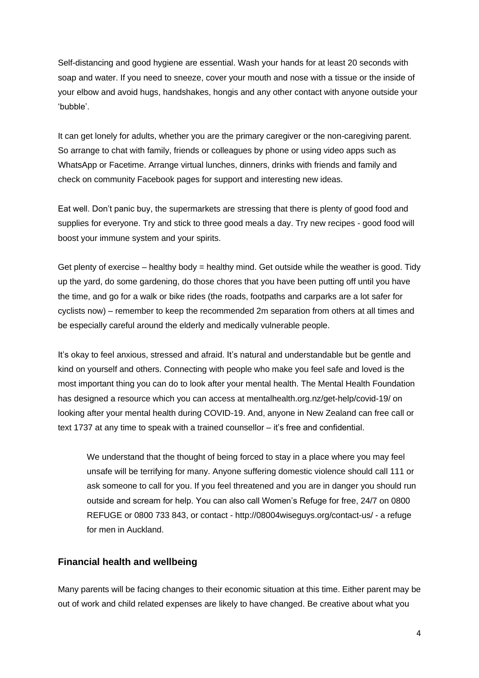Self-distancing and good hygiene are essential. Wash your hands for at least 20 seconds with soap and water. If you need to sneeze, cover your mouth and nose with a tissue or the inside of your elbow and avoid hugs, handshakes, hongis and any other contact with anyone outside your 'bubble'.

It can get lonely for adults, whether you are the primary caregiver or the non-caregiving parent. So arrange to chat with family, friends or colleagues by phone or using video apps such as WhatsApp or Facetime. Arrange virtual lunches, dinners, drinks with friends and family and check on community Facebook pages for support and interesting new ideas.

Eat well. Don't panic buy, the supermarkets are stressing that there is plenty of good food and supplies for everyone. Try and stick to three good meals a day. Try new recipes - good food will boost your immune system and your spirits.

Get plenty of exercise – healthy body  $=$  healthy mind. Get outside while the weather is good. Tidy up the yard, do some gardening, do those chores that you have been putting off until you have the time, and go for a walk or bike rides (the roads, footpaths and carparks are a lot safer for cyclists now) – remember to keep the recommended 2m separation from others at all times and be especially careful around the elderly and medically vulnerable people.

It's okay to feel anxious, stressed and afraid. It's natural and understandable but be gentle and kind on yourself and others. Connecting with people who make you feel safe and loved is the most important thing you can do to look after your mental health. The Mental Health Foundation has designed a resource which you can access at mentalhealth.org.nz/get-help/covid-19/ on looking after your mental health during COVID-19. And, anyone in New Zealand can free call or text 1737 at any time to speak with a trained counsellor – it's free and confidential.

We understand that the thought of being forced to stay in a place where you may feel unsafe will be terrifying for many. Anyone suffering domestic violence should call 111 or ask someone to call for you. If you feel threatened and you are in danger you should run outside and scream for help. You can also call Women's Refuge for free, 24/7 on 0800 REFUGE or 0800 733 843, or contact - http://08004wiseguys.org/contact-us/ - a refuge for men in Auckland.

#### **Financial health and wellbeing**

Many parents will be facing changes to their economic situation at this time. Either parent may be out of work and child related expenses are likely to have changed. Be creative about what you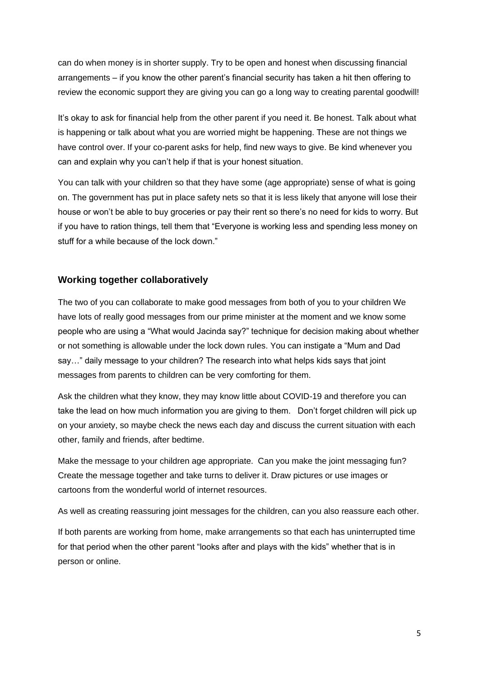can do when money is in shorter supply. Try to be open and honest when discussing financial arrangements – if you know the other parent's financial security has taken a hit then offering to review the economic support they are giving you can go a long way to creating parental goodwill!

It's okay to ask for financial help from the other parent if you need it. Be honest. Talk about what is happening or talk about what you are worried might be happening. These are not things we have control over. If your co-parent asks for help, find new ways to give. Be kind whenever you can and explain why you can't help if that is your honest situation.

You can talk with your children so that they have some (age appropriate) sense of what is going on. The government has put in place safety nets so that it is less likely that anyone will lose their house or won't be able to buy groceries or pay their rent so there's no need for kids to worry. But if you have to ration things, tell them that "Everyone is working less and spending less money on stuff for a while because of the lock down."

#### **Working together collaboratively**

The two of you can collaborate to make good messages from both of you to your children We have lots of really good messages from our prime minister at the moment and we know some people who are using a "What would Jacinda say?" technique for decision making about whether or not something is allowable under the lock down rules. You can instigate a "Mum and Dad say…" daily message to your children? The research into what helps kids says that joint messages from parents to children can be very comforting for them.

Ask the children what they know, they may know little about COVID-19 and therefore you can take the lead on how much information you are giving to them. Don't forget children will pick up on your anxiety, so maybe check the news each day and discuss the current situation with each other, family and friends, after bedtime.

Make the message to your children age appropriate. Can you make the joint messaging fun? Create the message together and take turns to deliver it. Draw pictures or use images or cartoons from the wonderful world of internet resources.

As well as creating reassuring joint messages for the children, can you also reassure each other.

If both parents are working from home, make arrangements so that each has uninterrupted time for that period when the other parent "looks after and plays with the kids" whether that is in person or online.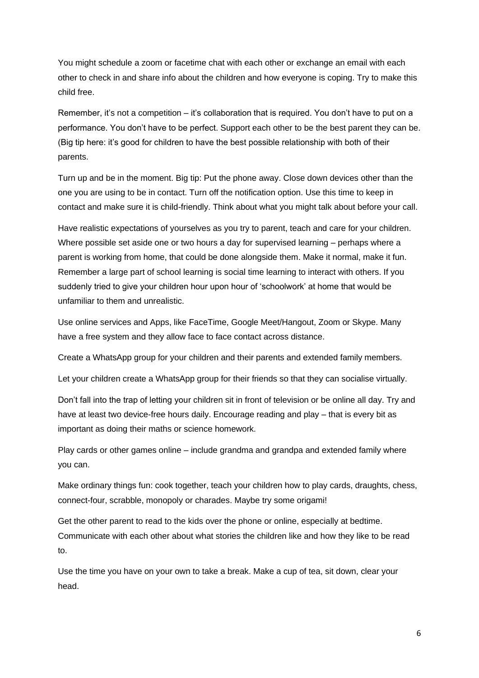You might schedule a zoom or facetime chat with each other or exchange an email with each other to check in and share info about the children and how everyone is coping. Try to make this child free.

Remember, it's not a competition – it's collaboration that is required. You don't have to put on a performance. You don't have to be perfect. Support each other to be the best parent they can be. (Big tip here: it's good for children to have the best possible relationship with both of their parents.

Turn up and be in the moment. Big tip: Put the phone away. Close down devices other than the one you are using to be in contact. Turn off the notification option. Use this time to keep in contact and make sure it is child-friendly. Think about what you might talk about before your call.

Have realistic expectations of yourselves as you try to parent, teach and care for your children. Where possible set aside one or two hours a day for supervised learning – perhaps where a parent is working from home, that could be done alongside them. Make it normal, make it fun. Remember a large part of school learning is social time learning to interact with others. If you suddenly tried to give your children hour upon hour of 'schoolwork' at home that would be unfamiliar to them and unrealistic.

Use online services and Apps, like FaceTime, Google Meet/Hangout, Zoom or Skype. Many have a free system and they allow face to face contact across distance.

Create a WhatsApp group for your children and their parents and extended family members.

Let your children create a WhatsApp group for their friends so that they can socialise virtually.

Don't fall into the trap of letting your children sit in front of television or be online all day. Try and have at least two device-free hours daily. Encourage reading and play – that is every bit as important as doing their maths or science homework.

Play cards or other games online – include grandma and grandpa and extended family where you can.

Make ordinary things fun: cook together, teach your children how to play cards, draughts, chess, connect-four, scrabble, monopoly or charades. Maybe try some origami!

Get the other parent to read to the kids over the phone or online, especially at bedtime. Communicate with each other about what stories the children like and how they like to be read to.

Use the time you have on your own to take a break. Make a cup of tea, sit down, clear your head.